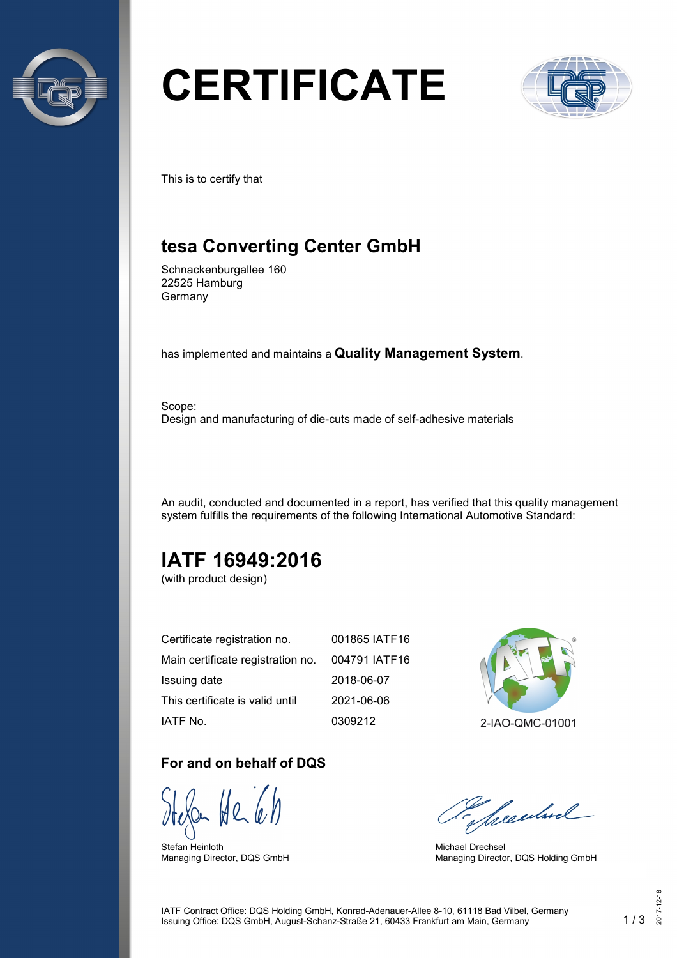

# **CERTIFICATE**



This is to certify that

## **tesa Converting Center GmbH**

Schnackenburgallee 160 22525 Hamburg Germany

has implemented and maintains a **Quality Management System**.

Scope: Design and manufacturing of die-cuts made of self-adhesive materials

An audit, conducted and documented in a report, has verified that this quality management system fulfills the requirements of the following International Automotive Standard:

## **IATF 16949:2016**

(with product design)

| Certificate registration no.      | 001865 IATF16 |
|-----------------------------------|---------------|
| Main certificate registration no. | 004791 IATF16 |
| Issuing date                      | 2018-06-07    |
| This certificate is valid until   | 2021-06-06    |
| IATF No.                          | 0309212       |

#### **For and on behalf of DQS**

Stefan Heinloth Managing Director, DQS GmbH



2-IAO-QMC-01001

Seculard

Michael Drechsel Managing Director, DQS Holding GmbH

IATF Contract Office: DQS Holding GmbH, Konrad-Adenauer-Allee 8-10, 61118 Bad Vilbel, Germany Issuing Office: DQS GmbH, August-Schanz-Straße 21, 60433 Frankfurt am Main, Germany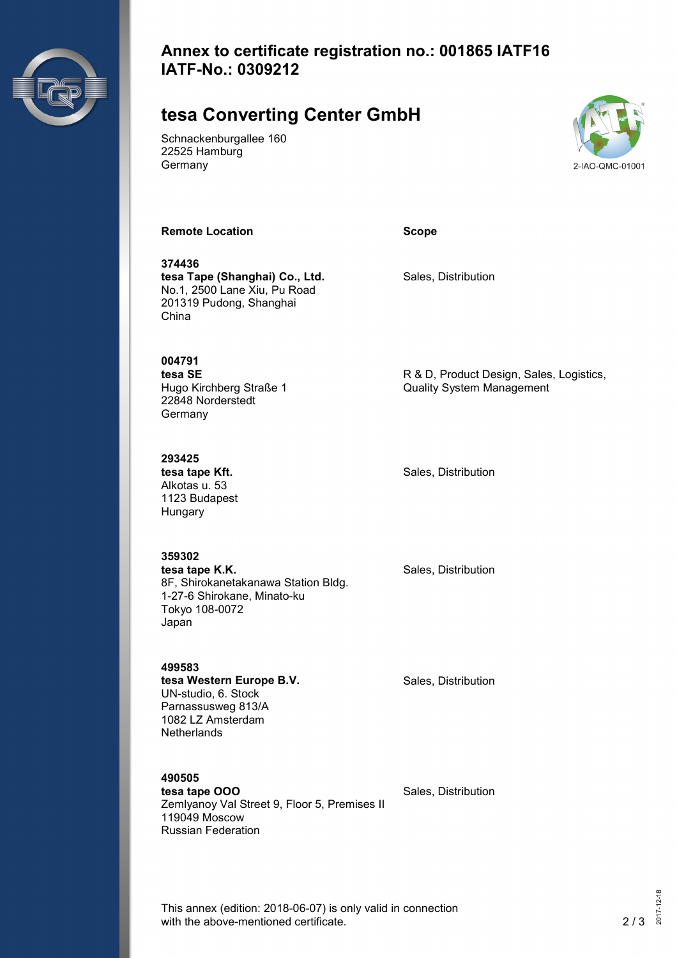

#### **Annex to certificate registration no.: 001865 IATF16 IATF-No.: 0309212**

## **tesa Converting Center GmbH**

Schnackenburgallee 160 22525 Hamburg Germany



**Remote Location Scope**

**374436 tesa Tape (Shanghai) Co., Ltd.** No.1, 2500 Lane Xiu, Pu Road 201319 Pudong, Shanghai China

Sales, Distribution

**004791 tesa SE**

Hugo Kirchberg Straße 1 22848 Norderstedt Germany

**293425 tesa tape Kft.** Alkotas u. 53 1123 Budapest Hungary

Japan

**359302 tesa tape K.K.** 8F, Shirokanetakanawa Station Bldg. 1-27-6 Shirokane, Minato-ku Tokyo 108-0072

Sales, Distribution

R & D, Product Design, Sales, Logistics,

Quality System Management

Sales, Distribution

**499583 tesa Western Europe B.V.** UN-studio, 6. Stock Parnassusweg 813/A 1082 LZ Amsterdam **Netherlands** 

**490505 tesa tape OOO**

Zemlyanoy Val Street 9, Floor 5, Premises II 119049 Moscow Russian Federation

Sales, Distribution

Sales, Distribution